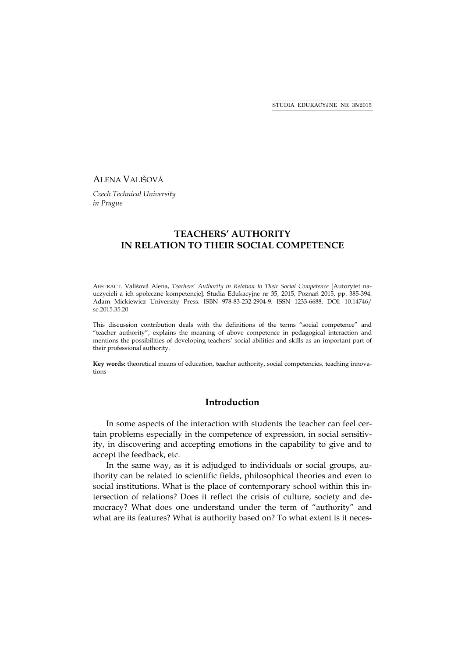#### ALENA VALIŠOVÁ

*Czech Technical University in Prague* 

# **TEACHERS' AUTHORITY IN RELATION TO THEIR SOCIAL COMPETENCE**

ABSTRACT. Vališová Alena, *Teachers' Authority in Relation to Their Social Competence* [Autorytet nauczycieli a ich społeczne kompetencje]. Studia Edukacyjne nr 35, 2015, Poznań 2015, pp. 385-394. Adam Mickiewicz University Press. ISBN 978-83-232-2904-9. ISSN 1233-6688. DOI: 10.14746/ se.2015.35.20

This discussion contribution deals with the definitions of the terms "social competence" and "teacher authority", explains the meaning of above competence in pedagogical interaction and mentions the possibilities of developing teachers' social abilities and skills as an important part of their professional authority.

**Key words:** theoretical means of education, teacher authority, social competencies, teaching innovations

### **Introduction**

In some aspects of the interaction with students the teacher can feel certain problems especially in the competence of expression, in social sensitivity, in discovering and accepting emotions in the capability to give and to accept the feedback, etc.

In the same way, as it is adjudged to individuals or social groups, authority can be related to scientific fields, philosophical theories and even to social institutions. What is the place of contemporary school within this intersection of relations? Does it reflect the crisis of culture, society and democracy? What does one understand under the term of "authority" and what are its features? What is authority based on? To what extent is it neces-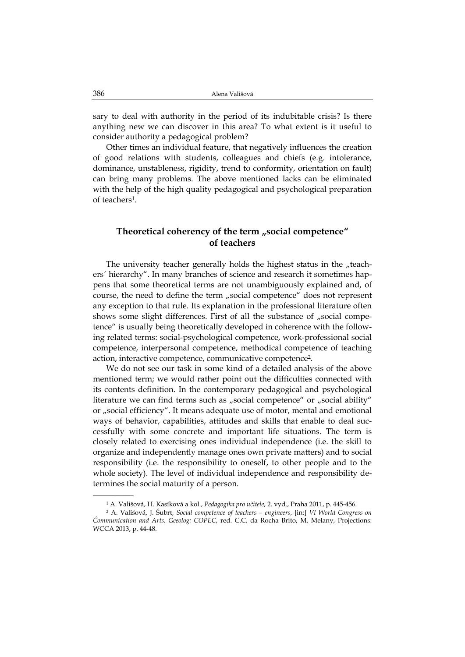sary to deal with authority in the period of its indubitable crisis? Is there anything new we can discover in this area? To what extent is it useful to consider authority a pedagogical problem?

Other times an individual feature, that negatively influences the creation of good relations with students, colleagues and chiefs (e.g. intolerance, dominance, unstableness, rigidity, trend to conformity, orientation on fault) can bring many problems. The above mentioned lacks can be eliminated with the help of the high quality pedagogical and psychological preparation of teachers1.

# Theoretical coherency of the term "social competence" **of teachers**

The university teacher generally holds the highest status in the "teachers´ hierarchy". In many branches of science and research it sometimes happens that some theoretical terms are not unambiguously explained and, of course, the need to define the term "social competence" does not represent any exception to that rule. Its explanation in the professional literature often shows some slight differences. First of all the substance of "social competence" is usually being theoretically developed in coherence with the following related terms: social-psychological competence, work-professional social competence, interpersonal competence, methodical competence of teaching action, interactive competence, communicative competence2.

We do not see our task in some kind of a detailed analysis of the above mentioned term; we would rather point out the difficulties connected with its contents definition. In the contemporary pedagogical and psychological literature we can find terms such as "social competence" or "social ability" or "social efficiency". It means adequate use of motor, mental and emotional ways of behavior, capabilities, attitudes and skills that enable to deal successfully with some concrete and important life situations. The term is closely related to exercising ones individual independence (i.e. the skill to organize and independently manage ones own private matters) and to social responsibility (i.e. the responsibility to oneself, to other people and to the whole society). The level of individual independence and responsibility determines the social maturity of a person.

<sup>1</sup> A. Vališová, H. Kasíková a kol., *Pedagogika pro učitele*, 2. vyd., Praha 2011, p. 445-456.

<sup>2</sup> A. Vališová, J. Šubrt, *Social competence of teachers – engineers*, [in:] *VI World Congress on Ćommunication and Arts. Geeolog: COPEC*, red. C.C. da Rocha Brito, M. Melany, Projections: WCCA 2013, p. 44-48.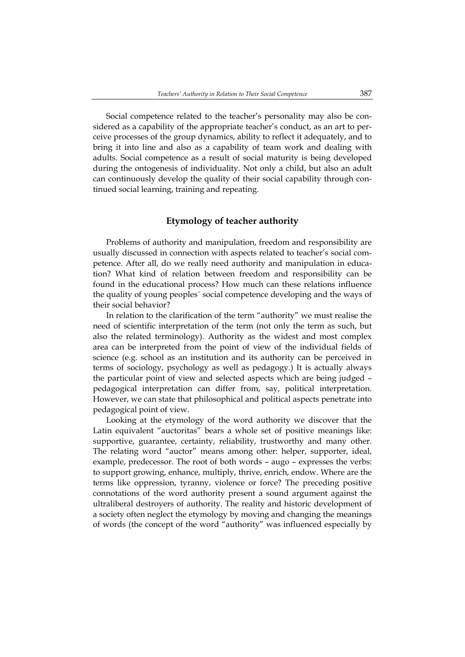Social competence related to the teacher's personality may also be considered as a capability of the appropriate teacher's conduct, as an art to perceive processes of the group dynamics, ability to reflect it adequately, and to bring it into line and also as a capability of team work and dealing with adults. Social competence as a result of social maturity is being developed during the ontogenesis of individuality. Not only a child, but also an adult can continuously develop the quality of their social capability through continued social learning, training and repeating.

#### **Etymology of teacher authority**

Problems of authority and manipulation, freedom and responsibility are usually discussed in connection with aspects related to teacher's social competence. After all, do we really need authority and manipulation in education? What kind of relation between freedom and responsibility can be found in the educational process? How much can these relations influence the quality of young peoples´ social competence developing and the ways of their social behavior?

In relation to the clarification of the term "authority" we must realise the need of scientific interpretation of the term (not only the term as such, but also the related terminology). Authority as the widest and most complex area can be interpreted from the point of view of the individual fields of science (e.g. school as an institution and its authority can be perceived in terms of sociology, psychology as well as pedagogy.) It is actually always the particular point of view and selected aspects which are being judged – pedagogical interpretation can differ from, say, political interpretation. However, we can state that philosophical and political aspects penetrate into pedagogical point of view.

Looking at the etymology of the word authority we discover that the Latin equivalent "auctoritas" bears a whole set of positive meanings like: supportive, guarantee, certainty, reliability, trustworthy and many other. The relating word "auctor" means among other: helper, supporter, ideal, example, predecessor. The root of both words – augo – expresses the verbs: to support growing, enhance, multiply, thrive, enrich, endow. Where are the terms like oppression, tyranny, violence or force? The preceding positive connotations of the word authority present a sound argument against the ultraliberal destroyers of authority. The reality and historic development of a society often neglect the etymology by moving and changing the meanings of words (the concept of the word "authority" was influenced especially by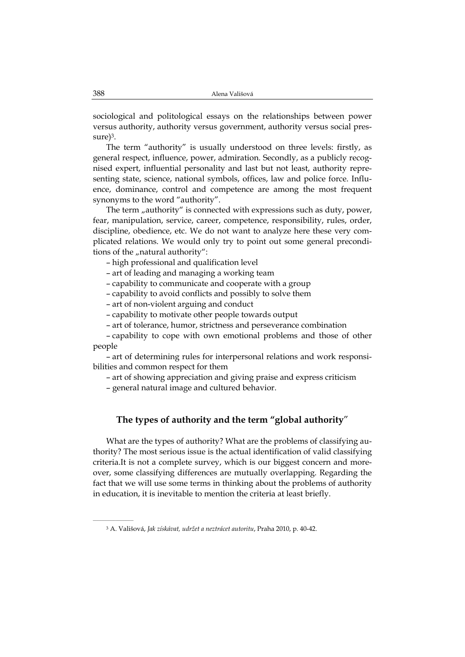sociological and politological essays on the relationships between power versus authority, authority versus government, authority versus social pressure)<sup>3</sup>.

The term "authority" is usually understood on three levels: firstly, as general respect, influence, power, admiration. Secondly, as a publicly recognised expert, influential personality and last but not least, authority representing state, science, national symbols, offices, law and police force. Influence, dominance, control and competence are among the most frequent synonyms to the word "authority".

The term "authority" is connected with expressions such as duty, power, fear, manipulation, service, career, competence, responsibility, rules, order, discipline, obedience, etc. We do not want to analyze here these very complicated relations. We would only try to point out some general preconditions of the  $n$  natural authority":

- high professional and qualification level
- art of leading and managing a working team
- capability to communicate and cooperate with a group
- capability to avoid conflicts and possibly to solve them
- art of non-violent arguing and conduct
- capability to motivate other people towards output
- art of tolerance, humor, strictness and perseverance combination

– capability to cope with own emotional problems and those of other people

– art of determining rules for interpersonal relations and work responsibilities and common respect for them

– art of showing appreciation and giving praise and express criticism

– general natural image and cultured behavior.

### **The types of authority and the term "global authority**"

What are the types of authority? What are the problems of classifying authority? The most serious issue is the actual identification of valid classifying criteria.It is not a complete survey, which is our biggest concern and moreover, some classifying differences are mutually overlapping. Regarding the fact that we will use some terms in thinking about the problems of authority in education, it is inevitable to mention the criteria at least briefly.

<sup>3</sup> A. Vališová, *Jak získávat, udržet a neztrácet autoritu*, Praha 2010, p. 40-42.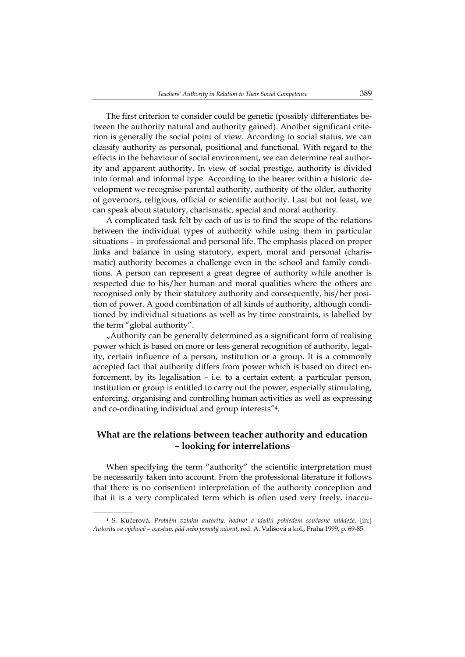The first criterion to consider could be genetic (possibly differentiates between the authority natural and authority gained). Another significant criterion is generally the social point of view. According to social status, we can classify authority as personal, positional and functional. With regard to the effects in the behaviour of social environment, we can determine real authority and apparent authority. In view of social prestige, authority is divided into formal and informal type. According to the bearer within a historic development we recognise parental authority, authority of the older, authority of governors, religious, official or scientific authority. Last but not least, we can speak about statutory, charismatic, special and moral authority.

A complicated task felt by each of us is to find the scope of the relations between the individual types of authority while using them in particular situations – in professional and personal life. The emphasis placed on proper links and balance in using statutory, expert, moral and personal (charismatic) authority becomes a challenge even in the school and family conditions. A person can represent a great degree of authority while another is respected due to his/her human and moral qualities where the others are recognised only by their statutory authority and consequently, his/her position of power. A good combination of all kinds of authority, although conditioned by individual situations as well as by time constraints, is labelled by the term "global authority".

"Authority can be generally determined as a significant form of realising power which is based on more or less general recognition of authority, legality, certain influence of a person, institution or a group. It is a commonly accepted fact that authority differs from power which is based on direct enforcement, by its legalisation – i.e. to a certain extent, a particular person, institution or group is entitled to carry out the power, especially stimulating, enforcing, organising and controlling human activities as well as expressing and co-ordinating individual and group interests"4.

# **What are the relations between teacher authority and education – looking for interrelations**

When specifying the term "authority" the scientific interpretation must be necessarily taken into account. From the professional literature it follows that there is no consentient interpretation of the authority conception and that it is a very complicated term which is often used very freely, inaccu-

<sup>4</sup> S. Kučerová, *Problém vztahu autority, hodnot a ideálů pohledem současné mládeže*, [in:] *Autorita ve výchově – vzestup, pád nebo pomalý návrat*, red. A. Vališová a kol., Praha 1999, p. 69-85.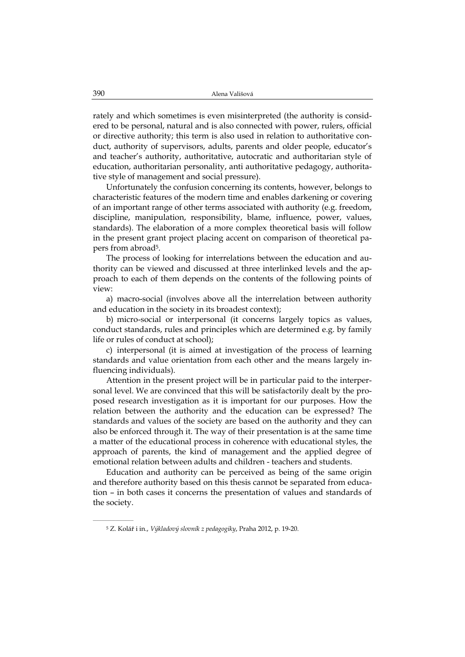rately and which sometimes is even misinterpreted (the authority is considered to be personal, natural and is also connected with power, rulers, official or directive authority; this term is also used in relation to authoritative conduct, authority of supervisors, adults, parents and older people, educator's and teacher's authority, authoritative, autocratic and authoritarian style of education, authoritarian personality, anti authoritative pedagogy, authoritative style of management and social pressure).

Unfortunately the confusion concerning its contents, however, belongs to characteristic features of the modern time and enables darkening or covering of an important range of other terms associated with authority (e.g. freedom, discipline, manipulation, responsibility, blame, influence, power, values, standards). The elaboration of a more complex theoretical basis will follow in the present grant project placing accent on comparison of theoretical papers from abroad5.

The process of looking for interrelations between the education and authority can be viewed and discussed at three interlinked levels and the approach to each of them depends on the contents of the following points of view:

a) macro-social (involves above all the interrelation between authority and education in the society in its broadest context);

b) micro-social or interpersonal (it concerns largely topics as values, conduct standards, rules and principles which are determined e.g. by family life or rules of conduct at school);

c) interpersonal (it is aimed at investigation of the process of learning standards and value orientation from each other and the means largely influencing individuals).

Attention in the present project will be in particular paid to the interpersonal level. We are convinced that this will be satisfactorily dealt by the proposed research investigation as it is important for our purposes. How the relation between the authority and the education can be expressed? The standards and values of the society are based on the authority and they can also be enforced through it. The way of their presentation is at the same time a matter of the educational process in coherence with educational styles, the approach of parents, the kind of management and the applied degree of emotional relation between adults and children - teachers and students.

Education and authority can be perceived as being of the same origin and therefore authority based on this thesis cannot be separated from education – in both cases it concerns the presentation of values and standards of the society.

<sup>5</sup> Z. Kolář i in., *Výkladový slovník z pedagogiky*, Praha 2012, p. 19-20.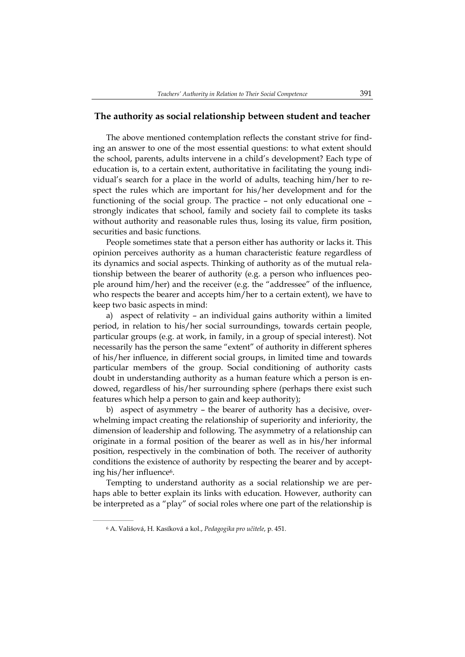### **The authority as social relationship between student and teacher**

The above mentioned contemplation reflects the constant strive for finding an answer to one of the most essential questions: to what extent should the school, parents, adults intervene in a child's development? Each type of education is, to a certain extent, authoritative in facilitating the young individual's search for a place in the world of adults, teaching him/her to respect the rules which are important for his/her development and for the functioning of the social group. The practice – not only educational one – strongly indicates that school, family and society fail to complete its tasks without authority and reasonable rules thus, losing its value, firm position, securities and basic functions.

People sometimes state that a person either has authority or lacks it. This opinion perceives authority as a human characteristic feature regardless of its dynamics and social aspects. Thinking of authority as of the mutual relationship between the bearer of authority (e.g. a person who influences people around him/her) and the receiver (e.g. the "addressee" of the influence, who respects the bearer and accepts him/her to a certain extent), we have to keep two basic aspects in mind:

a) aspect of relativity – an individual gains authority within a limited period, in relation to his/her social surroundings, towards certain people, particular groups (e.g. at work, in family, in a group of special interest). Not necessarily has the person the same "extent" of authority in different spheres of his/her influence, in different social groups, in limited time and towards particular members of the group. Social conditioning of authority casts doubt in understanding authority as a human feature which a person is endowed, regardless of his/her surrounding sphere (perhaps there exist such features which help a person to gain and keep authority);

b) aspect of asymmetry – the bearer of authority has a decisive, overwhelming impact creating the relationship of superiority and inferiority, the dimension of leadership and following. The asymmetry of a relationship can originate in a formal position of the bearer as well as in his/her informal position, respectively in the combination of both. The receiver of authority conditions the existence of authority by respecting the bearer and by accepting his/her influence6.

Tempting to understand authority as a social relationship we are perhaps able to better explain its links with education. However, authority can be interpreted as a "play" of social roles where one part of the relationship is

<sup>6</sup> A. Vališová, H. Kasíková a kol., *Pedagogika pro učitele*, p. 451.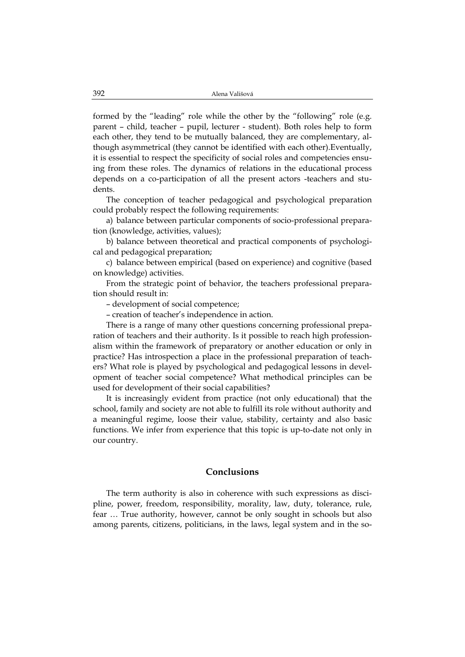formed by the "leading" role while the other by the "following" role (e.g. parent – child, teacher – pupil, lecturer - student). Both roles help to form each other, they tend to be mutually balanced, they are complementary, although asymmetrical (they cannot be identified with each other).Eventually, it is essential to respect the specificity of social roles and competencies ensuing from these roles. The dynamics of relations in the educational process depends on a co-participation of all the present actors -teachers and students.

The conception of teacher pedagogical and psychological preparation could probably respect the following requirements:

a) balance between particular components of socio-professional preparation (knowledge, activities, values);

b) balance between theoretical and practical components of psychological and pedagogical preparation;

c) balance between empirical (based on experience) and cognitive (based on knowledge) activities.

From the strategic point of behavior, the teachers professional preparation should result in:

– development of social competence;

– creation of teacher's independence in action.

There is a range of many other questions concerning professional preparation of teachers and their authority. Is it possible to reach high professionalism within the framework of preparatory or another education or only in practice? Has introspection a place in the professional preparation of teachers? What role is played by psychological and pedagogical lessons in development of teacher social competence? What methodical principles can be used for development of their social capabilities?

It is increasingly evident from practice (not only educational) that the school, family and society are not able to fulfill its role without authority and a meaningful regime, loose their value, stability, certainty and also basic functions. We infer from experience that this topic is up-to-date not only in our country.

## **Conclusions**

The term authority is also in coherence with such expressions as discipline, power, freedom, responsibility, morality, law, duty, tolerance, rule, fear … True authority, however, cannot be only sought in schools but also among parents, citizens, politicians, in the laws, legal system and in the so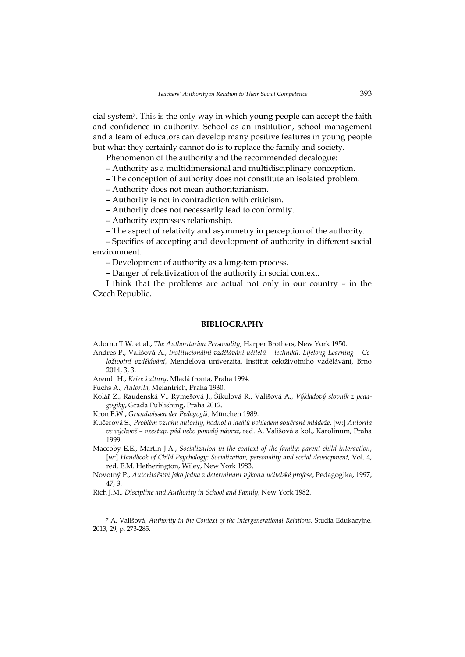cial system7. This is the only way in which young people can accept the faith and confidence in authority. School as an institution, school management and a team of educators can develop many positive features in young people but what they certainly cannot do is to replace the family and society.

Phenomenon of the authority and the recommended decalogue:

- Authority as a multidimensional and multidisciplinary conception.
- The conception of authority does not constitute an isolated problem.
- Authority does not mean authoritarianism.
- Authority is not in contradiction with criticism.
- Authority does not necessarily lead to conformity.
- Authority expresses relationship.
- The aspect of relativity and asymmetry in perception of the authority.

– Specifics of accepting and development of authority in different social environment.

– Development of authority as a long-tem process.

– Danger of relativization of the authority in social context.

I think that the problems are actual not only in our country – in the Czech Republic.

#### **BIBLIOGRAPHY**

Adorno T.W. et al., *The Authoritarian Personality*, Harper Brothers, New York 1950.

- Andres P., Vališová A., *Institucionální vzdělávání učitelů techniků. Lifelong Learning Celoživotní vzdělávání*, Mendelova univerzita, Institut celoživotního vzdělávání, Brno 2014, 3, 3.
- Arendt H., *Krize kultury*, Mladá fronta, Praha 1994.

Fuchs A., *Autorita*, Melantrich, Praha 1930.

 $\mathcal{L}=\mathcal{L}=\mathcal{L}=\mathcal{L}=\mathcal{L}=\mathcal{L}$ 

Kolář Z., Raudenská V., Rymešová J., Šikulová R., Vališová A., *Výkladový slovník z pedagogiky*, Grada Publishing, Praha 2012.

Kron F.W., *Grundwissen der Pedagogik*, München 1989.

- Kučerová S., *Problém vztahu autority, hodnot a ideálů pohledem současné mládeže*, [w:] *Autorita ve výchově – vzestup, pád nebo pomalý návrat*, red. A. Vališová a kol., Karolinum, Praha 1999.
- Maccoby E.E., Martin J.A*.*, *Socialization in the context of the family: parent-child interaction*, [w:] *Handbook of Child Psychology: Socialization, personality and social development*, Vol. 4, red. E.M. Hetherington, Wiley, New York 1983.
- Novotný P., *Autoritářství jako jedna z determinant výkonu učitelské profese*, Pedagogika, 1997, 47, 3.
- Rich J.M., *Discipline and Authority in School and Family*, New York 1982.

<sup>7</sup> A. Vališová, *Authority in the Context of the Intergenerational Relations*, Studia Edukacyjne, 2013, 29, p. 273-285.